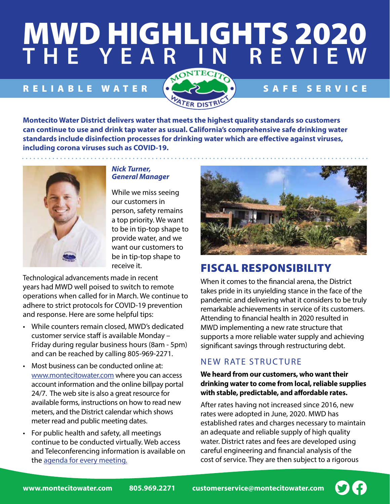# **MWD HIGHLIGHTS 2020 THE YEAR IN REVIEW** MWD HIGHLIGHTS 2020 **THE YEAR IN REVIEW**

# RELIABLE WATER  $\bullet$  SAFE SERVICE



**Montecito Water District delivers water that meets the highest quality standards so customers can continue to use and drink tap water as usual. California's comprehensive safe drinking water standards include disinfection processes for drinking water which are effective against viruses, including corona viruses such as COVID-19.** 



#### *Nick Turner, General Manager*

While we miss seeing our customers in person, safety remains a top priority. We want to be in tip-top shape to provide water, and we want our customers to be in tip-top shape to receive it.

Technological advancements made in recent years had MWD well poised to switch to remote operations when called for in March. We continue to adhere to strict protocols for COVID-19 prevention and response. Here are some helpful tips:

- While counters remain closed, MWD's dedicated customer service staff is available Monday – Friday during regular business hours (8am - 5pm) and can be reached by calling 805-969-2271.
- Most business can be conducted online at: [www.montecitowater.com](https://www.montecitowater.com/) where you can access account information and the online billpay portal 24/7. The web site is also a great resource for available forms, instructions on how to read new meters, and the District calendar which shows meter read and public meeting dates.
- For public health and safety, all meetings continue to be conducted virtually. Web access and Teleconferencing information is available on the [agenda for every meeting.](https://www.montecitowater.com/public-meetings/meetings-agendas/)



# FISCAL RESPONSIBILITY

When it comes to the financial arena, the District takes pride in its unyielding stance in the face of the pandemic and delivering what it considers to be truly remarkable achievements in service of its customers. Attending to financial health in 2020 resulted in MWD implementing a new rate structure that supports a more reliable water supply and achieving significant savings through restructuring debt.

## NEW RATE STRUCTURE

**We heard from our customers, who want their drinking water to come from local, reliable supplies with stable, predictable, and affordable rates.** 

After rates having not increased since 2016, new rates were adopted in June, 2020. MWD has established rates and charges necessary to maintain an adequate and reliable supply of high quality water. District rates and fees are developed using careful engineering and financial analysis of the cost of service. They are then subject to a rigorous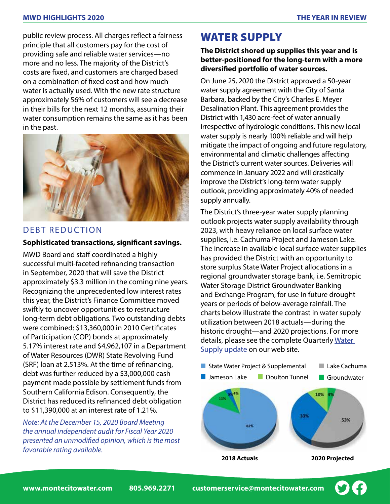#### **MWD HIGHLIGHTS 2020 THE YEAR IN REVIEW**

public review process. All charges reflect a fairness principle that all customers pay for the cost of providing safe and reliable water services—no more and no less. The majority of the District's costs are fixed, and customers are charged based on a combination of fixed cost and how much water is actually used. With the new rate structure approximately 56% of customers will see a decrease in their bills for the next 12 months, assuming their water consumption remains the same as it has been in the past.



#### DEBT REDUCTION

#### **Sophisticated transactions, significant savings.**

MWD Board and staff coordinated a highly successful multi-faceted refinancing transaction in September, 2020 that will save the District approximately \$3.3 million in the coming nine years. Recognizing the unprecedented low interest rates this year, the District's Finance Committee moved swiftly to uncover opportunities to restructure long-term debt obligations. Two outstanding debts were combined: \$13,360,000 in 2010 Certificates of Participation (COP) bonds at approximately 5.17% interest rate and \$4,962,107 in a Department of Water Resources (DWR) State Revolving Fund (SRF) loan at 2.513%. At the time of refinancing, debt was further reduced by a \$3,000,000 cash payment made possible by settlement funds from Southern California Edison. Consequently, the District has reduced its refinanced debt obligation to \$11,390,000 at an interest rate of 1.21%.

*Note: At the December 15, 2020 Board Meeting the annual independent audit for Fiscal Year 2020 presented an unmodified opinion, which is the most favorable rating available.* 

# WATER SUPPLY

#### **The District shored up supplies this year and is better-positioned for the long-term with a more diversified portfolio of water sources.**

On June 25, 2020 the District approved a 50-year water supply agreement with the City of Santa Barbara, backed by the City's Charles E. Meyer Desalination Plant. This agreement provides the District with 1,430 acre-feet of water annually irrespective of hydrologic conditions. This new local water supply is nearly 100% reliable and will help mitigate the impact of ongoing and future regulatory, environmental and climatic challenges affecting the District's current water sources. Deliveries will commence in January 2022 and will drastically improve the District's long-term water supply outlook, providing approximately 40% of needed supply annually.

**The District's three-year water supply planning** outlook projects water supply availability through 2023, with heavy reliance on local surface water supplies, i.e. Cachuma Project and Jameson Lake. The increase in available local surface water supplies has provided the District with an opportunity to store surplus State Water Project allocations in a regional groundwater storage bank, i.e. Semitropic Water Storage District Groundwater Banking and Exchange Program, for use in future drought years or periods of below-average rainfall. The ,<br>charts below illustrate the contrast in water supply utilization between 2018 actuals—during the historic drought—and 2020 projections. For more details, please see the complete Quarterly Water [Supply update](https://www.montecitowater.com/doc/6980/) on our web site. ree-year water supply planning Groundwater Bappiy avail Cachuma Froject and  $\frac{1}{2}$ ng anoagn asan Lake allocations mowater storage be : Frogram, ion ▪ Do not anticipate acquiring any additional water designdetails, piease see the complete Quarterly <u>water</u>

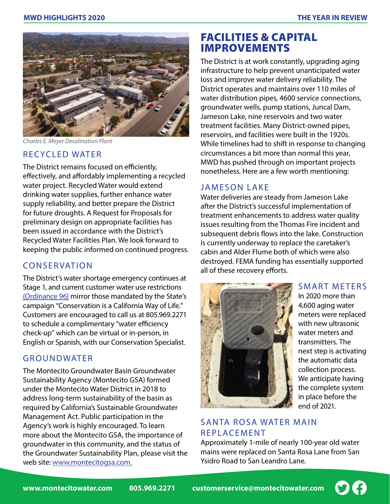

*Charles E. Meyer Desalination Plant*

#### RECYCLED WATER

The District remains focused on efficiently, effectively, and affordably implementing a recycled water project. Recycled Water would extend drinking water supplies, further enhance water supply reliability, and better prepare the District for future droughts. A Request for Proposals for preliminary design on appropriate facilities has been issued in accordance with the District's Recycled Water Facilities Plan. We look forward to keeping the public informed on continued progress.

#### CONSERVATION

The District's water shortage emergency continues at Stage 1, and current customer water use restrictions [\(Ordinance 96\)](https://www.montecitowater.com/doc/5392/) mirror those mandated by the State's campaign "Conservation is a California Way of Life." Customers are encouraged to call us at 805.969.2271 to schedule a complimentary "water efficiency check-up" which can be virtual or in-person, in English or Spanish, with our Conservation Specialist.

#### GROUNDWATER

The Montecito Groundwater Basin Groundwater Sustainability Agency (Montecito GSA) formed under the Montecito Water District in 2018 to address long-term sustainability of the basin as required by California's Sustainable Groundwater Management Act. Public participation in the Agency's work is highly encouraged. To learn more about the Montecito GSA, the importance of groundwater in this community, and the status of the Groundwater Sustainability Plan, please visit the web site: [www.montecitogsa.com.](http://www.montecitogsa.com/)

# FACILITIES & CAPITAL IMPROVEMENTS

The District is at work constantly, upgrading aging infrastructure to help prevent unanticipated water loss and improve water delivery reliability. The District operates and maintains over 110 miles of water distribution pipes, 4600 service connections, groundwater wells, pump stations, Juncal Dam, Jameson Lake, nine reservoirs and two water treatment facilities. Many District-owned pipes, reservoirs, and facilities were built in the 1920s. While timelines had to shift in response to changing circumstances a bit more than normal this year, MWD has pushed through on important projects nonetheless. Here are a few worth mentioning:

#### JAMESON LAKE

Water deliveries are steady from Jameson Lake after the District's successful implementation of treatment enhancements to address water quality issues resulting from the Thomas Fire incident and subsequent debris flows into the lake. Construction is currently underway to replace the caretaker's cabin and Alder Flume both of which were also destroyed. FEMA funding has essentially supported all of these recovery efforts.



#### SMART METERS

In 2020 more than 4,600 aging water meters were replaced with new ultrasonic water meters and transmitters. The next step is activating the automatic data collection process. We anticipate having the complete system in place before the end of 2021.

### SANTA ROSA WATER MAIN REPLACEMENT

Approximately 1-mile of nearly 100-year old water mains were replaced on Santa Rosa Lane from San Ysidro Road to San Leandro Lane.